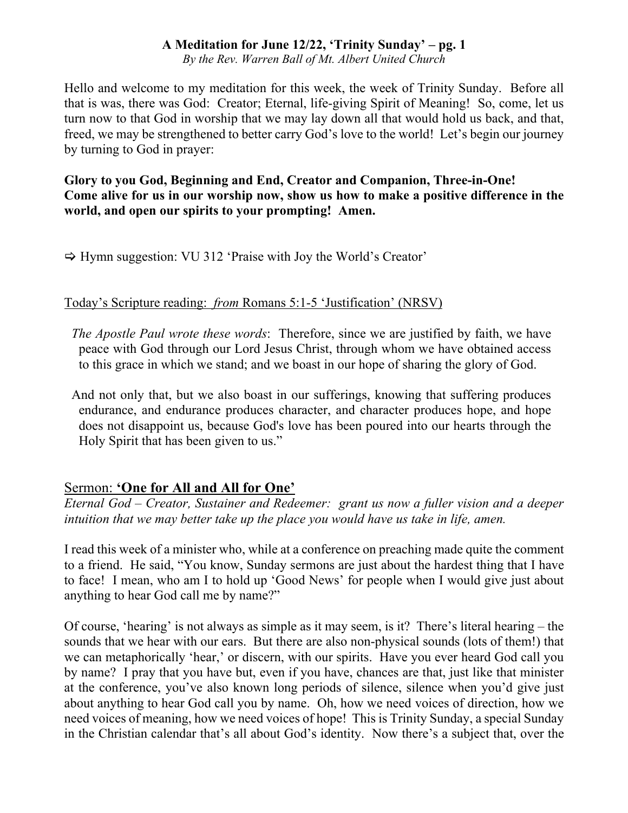*By the Rev. Warren Ball of Mt. Albert United Church*

Hello and welcome to my meditation for this week, the week of Trinity Sunday. Before all that is was, there was God: Creator; Eternal, life-giving Spirit of Meaning! So, come, let us turn now to that God in worship that we may lay down all that would hold us back, and that, freed, we may be strengthened to better carry God's love to the world! Let's begin our journey by turning to God in prayer:

**Glory to you God, Beginning and End, Creator and Companion, Three-in-One! Come alive for us in our worship now, show us how to make a positive difference in the world, and open our spirits to your prompting! Amen.**

 $\Rightarrow$  Hymn suggestion: VU 312 'Praise with Joy the World's Creator'

## Today's Scripture reading: *from* Romans 5:1-5 'Justification' (NRSV)

*The Apostle Paul wrote these words*: Therefore, since we are justified by faith, we have peace with God through our Lord Jesus Christ, through whom we have obtained access to this grace in which we stand; and we boast in our hope of sharing the glory of God.

And not only that, but we also boast in our sufferings, knowing that suffering produces endurance, and endurance produces character, and character produces hope, and hope does not disappoint us, because God's love has been poured into our hearts through the Holy Spirit that has been given to us."

# Sermon: **'One for All and All for One'**

*Eternal God – Creator, Sustainer and Redeemer: grant us now a fuller vision and a deeper intuition that we may better take up the place you would have us take in life, amen.*

I read this week of a minister who, while at a conference on preaching made quite the comment to a friend. He said, "You know, Sunday sermons are just about the hardest thing that I have to face! I mean, who am I to hold up 'Good News' for people when I would give just about anything to hear God call me by name?"

Of course, 'hearing' is not always as simple as it may seem, is it? There's literal hearing – the sounds that we hear with our ears. But there are also non-physical sounds (lots of them!) that we can metaphorically 'hear,' or discern, with our spirits. Have you ever heard God call you by name? I pray that you have but, even if you have, chances are that, just like that minister at the conference, you've also known long periods of silence, silence when you'd give just about anything to hear God call you by name. Oh, how we need voices of direction, how we need voices of meaning, how we need voices of hope! This is Trinity Sunday, a special Sunday in the Christian calendar that's all about God's identity. Now there's a subject that, over the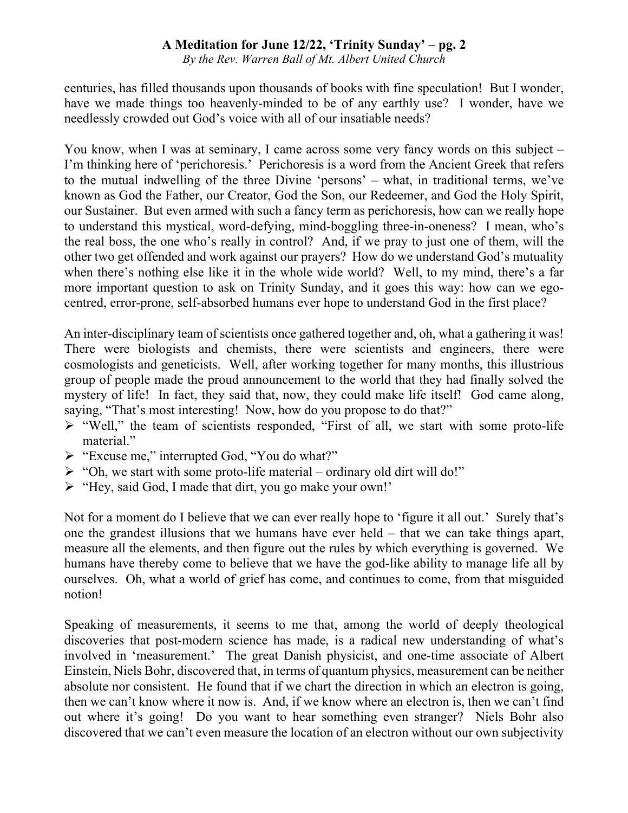*By the Rev. Warren Ball of Mt. Albert United Church*

centuries, has filled thousands upon thousands of books with fine speculation! But I wonder, have we made things too heavenly-minded to be of any earthly use? I wonder, have we needlessly crowded out God's voice with all of our insatiable needs?

You know, when I was at seminary, I came across some very fancy words on this subject – I'm thinking here of 'perichoresis.' Perichoresis is a word from the Ancient Greek that refers to the mutual indwelling of the three Divine 'persons' – what, in traditional terms, we've known as God the Father, our Creator, God the Son, our Redeemer, and God the Holy Spirit, our Sustainer. But even armed with such a fancy term as perichoresis, how can we really hope to understand this mystical, word-defying, mind-boggling three-in-oneness? I mean, who's the real boss, the one who's really in control? And, if we pray to just one of them, will the other two get offended and work against our prayers? How do we understand God's mutuality when there's nothing else like it in the whole wide world? Well, to my mind, there's a far more important question to ask on Trinity Sunday, and it goes this way: how can we egocentred, error-prone, self-absorbed humans ever hope to understand God in the first place?

An inter-disciplinary team of scientists once gathered together and, oh, what a gathering it was! There were biologists and chemists, there were scientists and engineers, there were cosmologists and geneticists. Well, after working together for many months, this illustrious group of people made the proud announcement to the world that they had finally solved the mystery of life! In fact, they said that, now, they could make life itself! God came along, saying, "That's most interesting! Now, how do you propose to do that?"

- $\triangleright$  "Well," the team of scientists responded, "First of all, we start with some proto-life material."
- Ø "Excuse me," interrupted God, "You do what?"
- $\triangleright$  "Oh, we start with some proto-life material ordinary old dirt will do!"
- Ø "Hey, said God, I made that dirt, you go make your own!'

Not for a moment do I believe that we can ever really hope to 'figure it all out.' Surely that's one the grandest illusions that we humans have ever held – that we can take things apart, measure all the elements, and then figure out the rules by which everything is governed. We humans have thereby come to believe that we have the god-like ability to manage life all by ourselves. Oh, what a world of grief has come, and continues to come, from that misguided notion!

Speaking of measurements, it seems to me that, among the world of deeply theological discoveries that post-modern science has made, is a radical new understanding of what's involved in 'measurement.' The great Danish physicist, and one-time associate of Albert Einstein, Niels Bohr, discovered that, in terms of quantum physics, measurement can be neither absolute nor consistent. He found that if we chart the direction in which an electron is going, then we can't know where it now is. And, if we know where an electron is, then we can't find out where it's going! Do you want to hear something even stranger? Niels Bohr also discovered that we can't even measure the location of an electron without our own subjectivity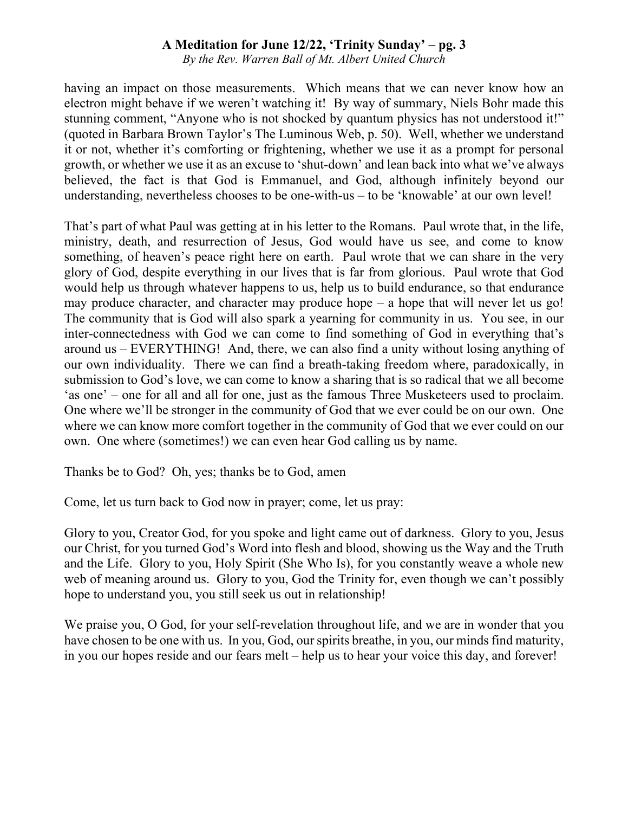*By the Rev. Warren Ball of Mt. Albert United Church*

having an impact on those measurements. Which means that we can never know how an electron might behave if we weren't watching it! By way of summary, Niels Bohr made this stunning comment, "Anyone who is not shocked by quantum physics has not understood it!" (quoted in Barbara Brown Taylor's The Luminous Web, p. 50). Well, whether we understand it or not, whether it's comforting or frightening, whether we use it as a prompt for personal growth, or whether we use it as an excuse to 'shut-down' and lean back into what we've always believed, the fact is that God is Emmanuel, and God, although infinitely beyond our understanding, nevertheless chooses to be one-with-us – to be 'knowable' at our own level!

That's part of what Paul was getting at in his letter to the Romans. Paul wrote that, in the life, ministry, death, and resurrection of Jesus, God would have us see, and come to know something, of heaven's peace right here on earth. Paul wrote that we can share in the very glory of God, despite everything in our lives that is far from glorious. Paul wrote that God would help us through whatever happens to us, help us to build endurance, so that endurance may produce character, and character may produce hope – a hope that will never let us go! The community that is God will also spark a yearning for community in us. You see, in our inter-connectedness with God we can come to find something of God in everything that's around us – EVERYTHING! And, there, we can also find a unity without losing anything of our own individuality. There we can find a breath-taking freedom where, paradoxically, in submission to God's love, we can come to know a sharing that is so radical that we all become 'as one' – one for all and all for one, just as the famous Three Musketeers used to proclaim. One where we'll be stronger in the community of God that we ever could be on our own. One where we can know more comfort together in the community of God that we ever could on our own. One where (sometimes!) we can even hear God calling us by name.

Thanks be to God? Oh, yes; thanks be to God, amen

Come, let us turn back to God now in prayer; come, let us pray:

Glory to you, Creator God, for you spoke and light came out of darkness. Glory to you, Jesus our Christ, for you turned God's Word into flesh and blood, showing us the Way and the Truth and the Life. Glory to you, Holy Spirit (She Who Is), for you constantly weave a whole new web of meaning around us. Glory to you, God the Trinity for, even though we can't possibly hope to understand you, you still seek us out in relationship!

We praise you, O God, for your self-revelation throughout life, and we are in wonder that you have chosen to be one with us. In you, God, our spirits breathe, in you, our minds find maturity, in you our hopes reside and our fears melt – help us to hear your voice this day, and forever!